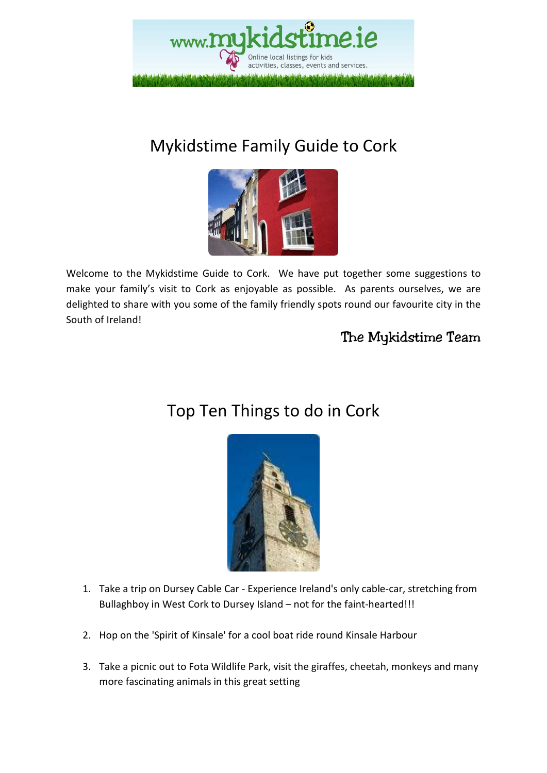

### Mykidstime Family Guide to Cork



Welcome to the Mykidstime Guide to Cork. We have put together some suggestions to make your family's visit to Cork as enjoyable as possible. As parents ourselves, we are delighted to share with you some of the family friendly spots round our favourite city in the South of Ireland!

### The Mykidstime Team

### Top Ten Things to do in Cork



- 1. Take a trip on Dursey Cable Car Experience Ireland's only cable-car, stretching from Bullaghboy in West Cork to Dursey Island – not for the faint-hearted!!!
- 2. Hop on the 'Spirit of Kinsale' for a cool boat ride round Kinsale Harbour
- 3. Take a picnic out to Fota Wildlife Park, visit the giraffes, cheetah, monkeys and many more fascinating animals in this great setting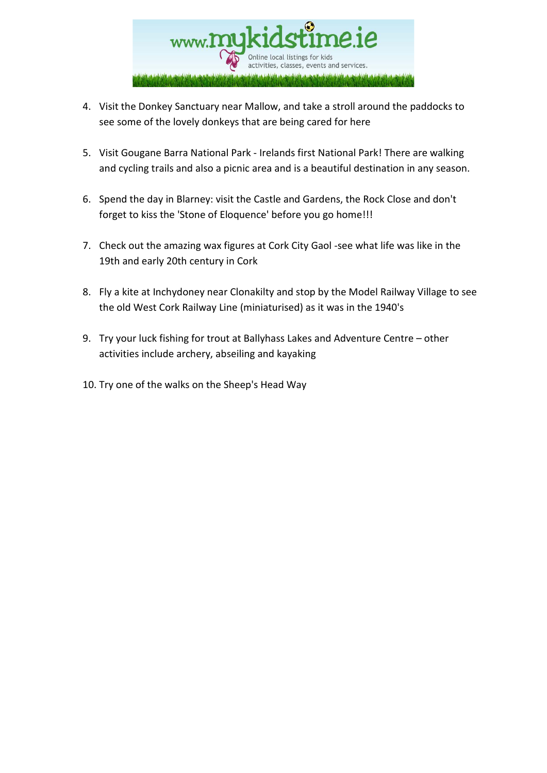

- 4. Visit the Donkey Sanctuary near Mallow, and take a stroll around the paddocks to see some of the lovely donkeys that are being cared for here
- 5. Visit Gougane Barra National Park Irelands first National Park! There are walking and cycling trails and also a picnic area and is a beautiful destination in any season.
- 6. Spend the day in Blarney: visit the Castle and Gardens, the Rock Close and don't forget to kiss the 'Stone of Eloquence' before you go home!!!
- 7. Check out the amazing wax figures at Cork City Gaol -see what life was like in the 19th and early 20th century in Cork
- 8. Fly a kite at Inchydoney near Clonakilty and stop by the Model Railway Village to see the old West Cork Railway Line (miniaturised) as it was in the 1940's
- 9. Try your luck fishing for trout at Ballyhass Lakes and Adventure Centre other activities include archery, abseiling and kayaking
- 10. Try one of the walks on the Sheep's Head Way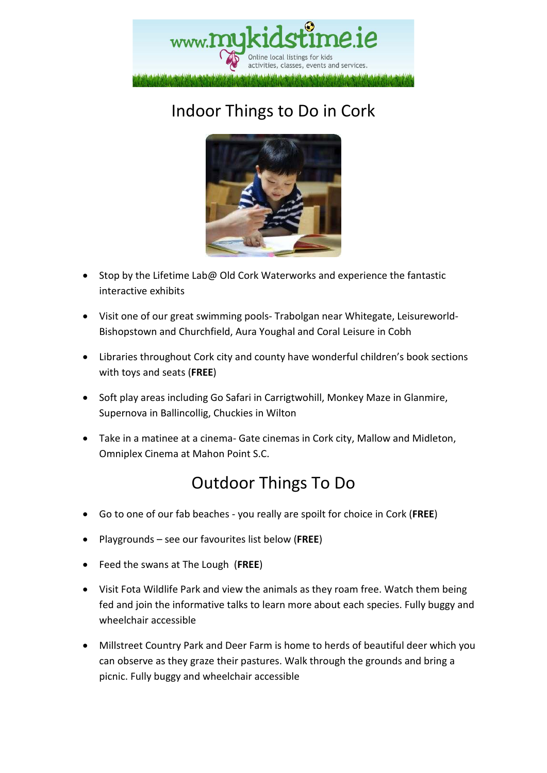

## Indoor Things to Do in Cork



- Stop by the Lifetime Lab@ Old Cork Waterworks and experience the fantastic interactive exhibits
- Visit one of our great swimming pools- Trabolgan near Whitegate, Leisureworld-Bishopstown and Churchfield, Aura Youghal and Coral Leisure in Cobh
- Libraries throughout Cork city and county have wonderful children's book sections with toys and seats (**FREE**)
- Soft play areas including Go Safari in Carrigtwohill, Monkey Maze in Glanmire, Supernova in Ballincollig, Chuckies in Wilton
- Take in a matinee at a cinema- Gate cinemas in Cork city, Mallow and Midleton, Omniplex Cinema at Mahon Point S.C.

### Outdoor Things To Do

- Go to one of our fab beaches you really are spoilt for choice in Cork (**FREE**)
- Playgrounds see our favourites list below (**FREE**)
- Feed the swans at The Lough (**FREE**)
- Visit Fota Wildlife Park and view the animals as they roam free. Watch them being fed and join the informative talks to learn more about each species. Fully buggy and wheelchair accessible
- Millstreet Country Park and Deer Farm is home to herds of beautiful deer which you can observe as they graze their pastures. Walk through the grounds and bring a picnic. Fully buggy and wheelchair accessible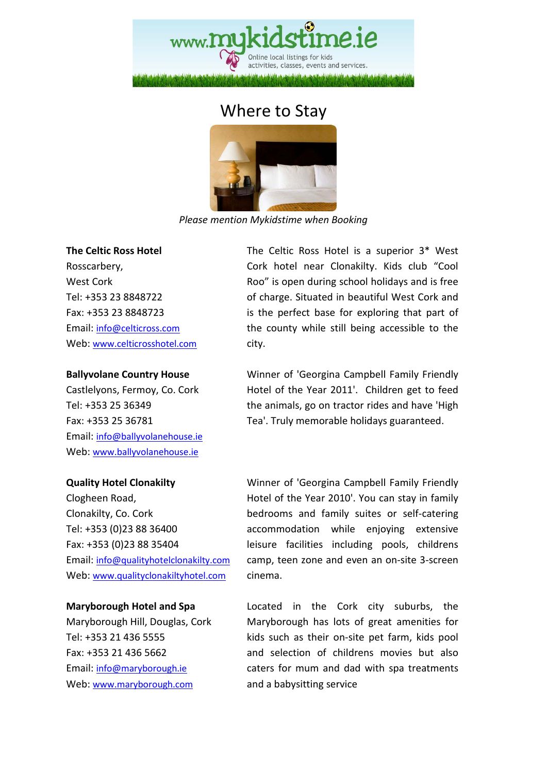### Where to Stay



*Please mention Mykidstime when Booking* 

#### **The Celtic Ross Hotel**

Rosscarbery, West Cork Tel: +353 23 8848722 Fax: +353 23 8848723 Email: info@celticross.com Web: www.celticrosshotel.com

#### **Ballyvolane Country House**

Castlelyons, Fermoy, Co. Cork Tel: +353 25 36349 Fax: +353 25 36781 Email: info@ballyvolanehouse.ie Web: www.ballyvolanehouse.ie

#### **Quality Hotel Clonakilty**

Clogheen Road, Clonakilty, Co. Cork Tel: +353 (0)23 88 36400 Fax: +353 (0)23 88 35404 Email: info@qualityhotelclonakilty.com Web: www.qualityclonakiltyhotel.com

#### **Maryborough Hotel and Spa**

Maryborough Hill, Douglas, Cork Tel: +353 21 436 5555 Fax: +353 21 436 5662 Email: info@maryborough.ie Web: www.maryborough.com

The Celtic Ross Hotel is a superior 3\* West Cork hotel near Clonakilty. Kids club "Cool Roo" is open during school holidays and is free of charge. Situated in beautiful West Cork and is the perfect base for exploring that part of the county while still being accessible to the city.

Winner of 'Georgina Campbell Family Friendly Hotel of the Year 2011'. Children get to feed the animals, go on tractor rides and have 'High Tea'. Truly memorable holidays guaranteed.

Winner of 'Georgina Campbell Family Friendly Hotel of the Year 2010'. You can stay in family bedrooms and family suites or self-catering accommodation while enjoying extensive leisure facilities including pools, childrens camp, teen zone and even an on-site 3-screen cinema.

Located in the Cork city suburbs, the Maryborough has lots of great amenities for kids such as their on-site pet farm, kids pool and selection of childrens movies but also caters for mum and dad with spa treatments and a babysitting service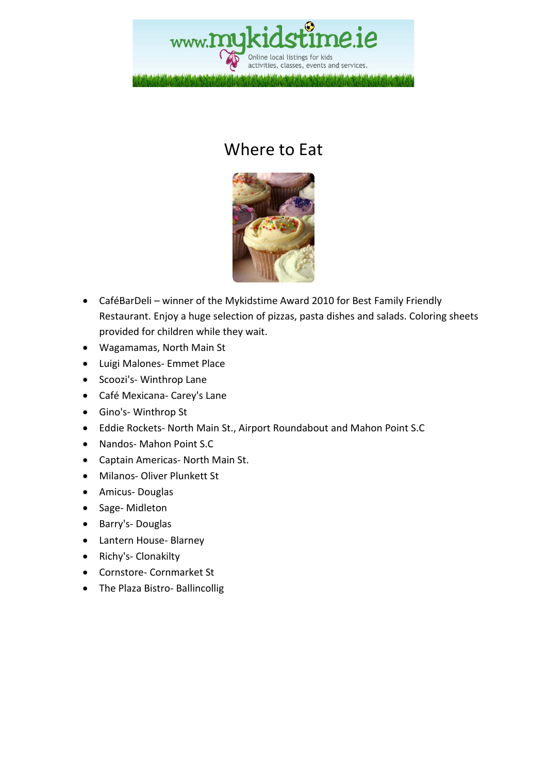

### Where to Eat



- CaféBarDeli winner of the Mykidstime Award 2010 for Best Family Friendly Restaurant. Enjoy a huge selection of pizzas, pasta dishes and salads. Coloring sheets provided for children while they wait.
- Wagamamas, North Main St
- Luigi Malones- Emmet Place
- Scoozi's- Winthrop Lane
- Café Mexicana- Carey's Lane
- Gino's- Winthrop St
- Eddie Rockets- North Main St., Airport Roundabout and Mahon Point S.C
- Nandos- Mahon Point S.C
- Captain Americas- North Main St.
- Milanos- Oliver Plunkett St
- Amicus- Douglas
- Sage- Midleton
- Barry's- Douglas
- Lantern House- Blarney
- Richy's- Clonakilty
- Cornstore- Cornmarket St
- The Plaza Bistro- Ballincollig